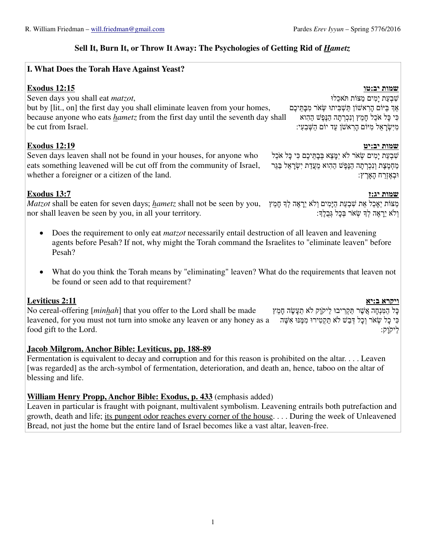## **Sell It, Burn It, or Throw It Away: The Psychologies of Getting Rid of** *Hametz*

## **I. What Does the Torah Have Against Yeast?**

## **שמות יב:טו 12:15 xodus E**

Seven days you shall eat *matzot*, but by [lit., on] the first day you shall eliminate leaven from your homes,

because anyone who eats *hametz* from the first day until the seventh day shall be cut from Israel.

# **שמות יב:יט 12:19 xodus E**

Seven days leaven shall not be found in your houses, for anyone who eats something leavened will be cut off from the community of Israel, whether a foreigner or a citizen of the land.

# **שמות יג:ז 13:7 xodus E**

מַצּוֹת יֵאָכֵל אֵת שִׁבְעַת הַיָּמִים וְ\*א יֵרָ אֶה ל/ְ חָמֵץ *Matzot* shall be eaten for seven days; *hametz* shall not be seen by you, וְלֹא יֵרָאֶה לְךָ שָׂאֹר בְּכָל גְּבָלֶךָ: nor shall leaven be seen by you, in all your territory.

- Does the requirement to only eat *matzot* necessarily entail destruction of all leaven and leavening agents before Pesah? If not, why might the Torah command the Israelites to "eliminate leaven" before Pesah?
- What do you think the Torah means by "eliminating" leaven? What do the requirements that leaven not be found or seen add to that requirement?

# **ויקרא ב:יא 2:11 Leviticus**

No cereal-offering [*minhah*] that you offer to the Lord shall be made leavened, for you must not turn into smoke any leaven or any honey as a بَان הָקְטִירוּ מִמֶּנּוּ אִשֶּׁה food gift to the Lord. כָּל הַמִּנְחָה אֲשֶׁר תַּקְרִיבוּ לַיקוַק לֹא תֵעֲשֶׂה חָמֵץ לַיק ֹוָק:

## **Jacob Milgrom, Anchor Bible: Leviticus, pp. 188-89**

Fermentation is equivalent to decay and corruption and for this reason is prohibited on the altar. . . . Leaven [was regarded] as the arch-symbol of fermentation, deterioration, and death an, hence, taboo on the altar of blessing and life.

## **William Henry Propp, Anchor Bible: Exodus, p. 433** (emphasis added)

Leaven in particular is fraught with poignant, multivalent symbolism. Leavening entrails both putrefaction and growth, death and life; its pungent odor reaches every corner of the house. . . . During the week of Unleavened Bread, not just the home but the entire land of Israel becomes like a vast altar, leaven-free.

1

### שִׁבְעַת יָמִים מַצּוֹת תּ ֹאכֵלוּ אַר בַּיּוֹם הַרְאשׁוֹן תַּשָׁבִּיתוּ שָׂאֹר מִבַּתֵּיכֶם כִּי כָּל א ֹכֵל חָמֵץ וְנִכְרְ תָה הַנֶּפֶשׁ הַהִוא מִיִּשְׂרָ אֵל מִיּוֹם הָרִ אשׁ ֹן עַד יוֹם הַשְּׁבִעִי:

ֿשָׁבְעַת יַמִים שָׂאֹר לֹא יִמַּצֵא בְּבָתֵּיכֶם כִּי כַּל אֹכֵל מַחְמֶצֶת וְנִכְרְתָה הַנֵּפֶשׁ הַהָוא מֵעֲדַת יְשָׂרָאֵל בַּגֵּר וּבְאֶזְרַ ח הָאָרֶ ץ: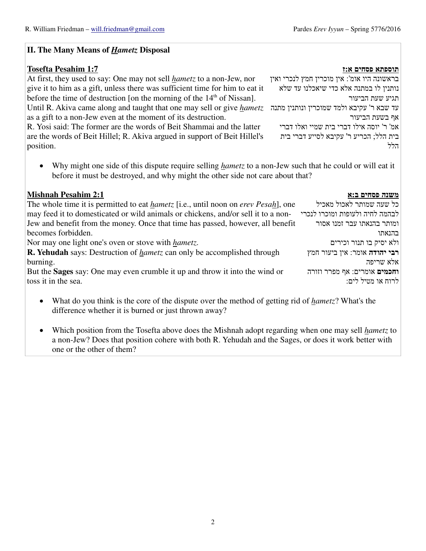### **II. The Many Means of** *Hametz* **Disposal**

### **תוספתא פסחים א:ז 1:7 Pesahim Tosefta**

עד שבא ר' עקיבא ולמד שמוכרין ונותנין מתנה Until R. Akiva came along and taught that one may sell or give *hametz* At first, they used to say: One may not sell *hametz* to a non-Jew, nor give it to him as a gift, unless there was sufficient time for him to eat it before the time of destruction [on the morning of the  $14<sup>th</sup>$  of Nissan].

as a gift to a non-Jew even at the moment of its destruction.

R. Yosi said: The former are the words of Beit Shammai and the latter are the words of Beit Hillel; R. Akiva argued in support of Beit Hillel's position.

• Why might one side of this dispute require selling *hametz* to a non-Jew such that he could or will eat it before it must be destroyed, and why might the other side not care about that?

### **משנה פסחים ב:א 2:1 Pesahim Mishnah**

| The whole time it is permitted to eat <i>hametz</i> [i.e., until noon on <i>erev Pesah</i> ], one | כל שעה שמותר לאכול מאכיל        |
|---------------------------------------------------------------------------------------------------|---------------------------------|
| may feed it to domesticated or wild animals or chickens, and/or sell it to a non-                 | לבהמה לחיה ולעופות ומוכרו לנכרי |
| Jew and benefit from the money. Once that time has passed, however, all benefit                   | ומותר בהנאתו עבר זמנו אסור      |
| becomes forbidden.                                                                                | בהנאתו                          |
| Nor may one light one's oven or stove with <i>hametz</i> .                                        | ולא יסיק בו תנור וכירים         |
| <b>R. Yehudah</b> says: Destruction of <i>hametz</i> can only be accomplished through             | רבי יהודה אומר: אין ביעור חמץ   |
| burning.                                                                                          | אלא שריפה                       |
| But the <b>Sages</b> say: One may even crumble it up and throw it into the wind or                | וחכמים אומרים: אף מפרר וזורה    |
| toss it in the sea.                                                                               | לרוח או מטיל לים:               |
|                                                                                                   |                                 |

- What do you think is the core of the dispute over the method of getting rid of *hametz*? What's the difference whether it is burned or just thrown away?
- Which position from the Tosefta above does the Mishnah adopt regarding when one may sell *hametz* to a non-Jew? Does that position cohere with both R. Yehudah and the Sages, or does it work better with one or the other of them?

בראשונה היו אומ': אין מוכרין חמץ לנכרי ואין נותנין לו במתנה אלא כדי שיאכלנו עד שלא תגיע שעת הביעור אף בשעת הביעור אמ' ר' יוסה אילו דברי בית שמיי ואלו דברי בית הלל; הכריע ר' עקיבא לסייע דברי בית הלל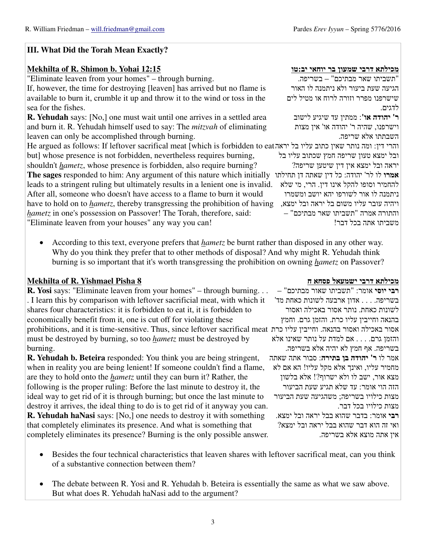## **III. What Did the Torah Mean Exactly?**

## **מכילתא דרבי שמעון בר יוחאי יב:טו 12:15 Yohai .b Shimon .R of Mekhilta**

"Eliminate leaven from your homes" – through burning.

If, however, the time for destroying [leaven] has arrived but no flame is available to burn it, crumble it up and throw it to the wind or toss in the sea for the fishes.

**R. Yehudah** says: [No,] one must wait until one arrives in a settled area and burn it. R. Yehudah himself used to say: The *mitzvah* of eliminating leaven can only be accomplished through burning.

והרי דין: ומה נותר שאין כתוב עליו בל יראה He argued as follows: If leftover sacrifical meat [which is forbidden to eat but] whose presence is not forbidden, nevertheless requires burning,

shouldn't *hametz*, whose presence is forbidden, also require burning?

**אמרו** לו לר' יהודה: כל דין שאתה דן תחילתו **The sages** responded to him: Any argument of this nature which initially ויהיה עובר עליו משום בל יראה ובל ימצא, have to hold on to *hametz*, thereby transgressing the prohibition of having leads to a stringent ruling but ultimately results in a lenient one is invalid. After all, someone who doesn't have access to a flame to burn it would *hametz* in one's possession on Passover! The Torah, therefore, said: "Eliminate leaven from your houses" any way you can!

• According to this text, everyone prefers that *hametz* be burnt rather than disposed in any other way. Why do you think they prefer that to other methods of disposal? And why might R. Yehudah think burning is so important that it's worth transgressing the prohibition on owning *hametz* on Passover?

## **מכילתא דרבי ישמעאל פסחא ח 8 Pisha Yishmael .R of Mekhilta**

אסור באכילה ואסור בהנאה. וחייבין עליו כרת prohibitions, and it is time-sensitive. Thus, since leftover sacrifical meat **R. Yosi** says: "Eliminate leaven from your homes" – through burning. . . . I learn this by comparison with leftover sacrificial meat, with which it shares four characteristics: it is forbidden to eat it, it is forbidden to economically benefit from it, one is cut off for violating these must be destroyed by burning, so too *hametz* must be destroyed by burning.

**R. Yehudah b. Beteira** responded: You think you are being stringent, when in reality you are being lenient! If someone couldn't find a flame, are they to hold onto the *hametz* until they can burn it? Rather, the following is the proper ruling: Before the last minute to destroy it, the ideal way to get rid of it is through burning; but once the last minute to destroy it arrives, the ideal thing to do is to get rid of it anyway you can. **R. Yehudah haNasi** says: [No,] one needs to destroy it with something that completely eliminates its presence. And what is something that completely eliminates its presence? Burning is the only possible answer.

"תשביתו שאר מבתיכם" – בשריפה. הגיעה שעת ביעור ולא ניתמנה לו האור שישרפנו מפרר וזורה לרוח או מטיל לים לדגים.

**ר' יהודה או'** : ממתין עד שיגיע לישוב וישרפנו, שהיה ר' יהודה או' אין מצות השבתתו אלא שריפה.

ובל ימצא טעון שריפה חמץ שכתוב עליו בל יראה ובל ימצא אין דין שיטען שריפה? להחמיר וסופו להקל אינו דין. הרי, מי שלא ניתמנה לו אור לשורפו יהא יושב ומשמרו והתורה אמרה "תשביתו שאר מבתיכם" – משביתו אתה בכל דבר!

**רבי יוסי** אומר: "תשביתו שאור מבתיכם" – בשריפה. . . . אדון ארבעה לשונות כאחת מד' לשונות כאחת. נותר אסור באכילה ואסור בהנאה וחייבין עליו כרת. והזמן גרם. וחמץ והזמן גרם. . . . אם למדת על נותר שאינו אלא בשריפה. אף חמץ לא יהיה אלא בשריפה. אמר לו **ר' יהודה בן בתירה**: סבור אתה שאתה מחמיר עליו, ואינך אלא מקל עליו! הא אם לא מצא אור, ישב לו ולא ישרוף?! אלא בלשון הזה הוי אומר: עד שלא תגיע שעת הביעור מצות כילויו בשריפה; משהגיעה שעת הביעור מצות כילויו בכל דבר. **רבי** אומר: בדבר שהוא בבל יראה ובל ימצא. ואי זה הוא דבר שהוא בבל יראה ובל ימצא? אין אתה מוצא אלא בשריפה.

- Besides the four technical characteristics that leaven shares with leftover sacrifical meat, can you think of a substantive connection between them?
- The debate between R. Yosi and R. Yehudah b. Beteira is essentially the same as what we saw above. But what does R. Yehudah haNasi add to the argument?